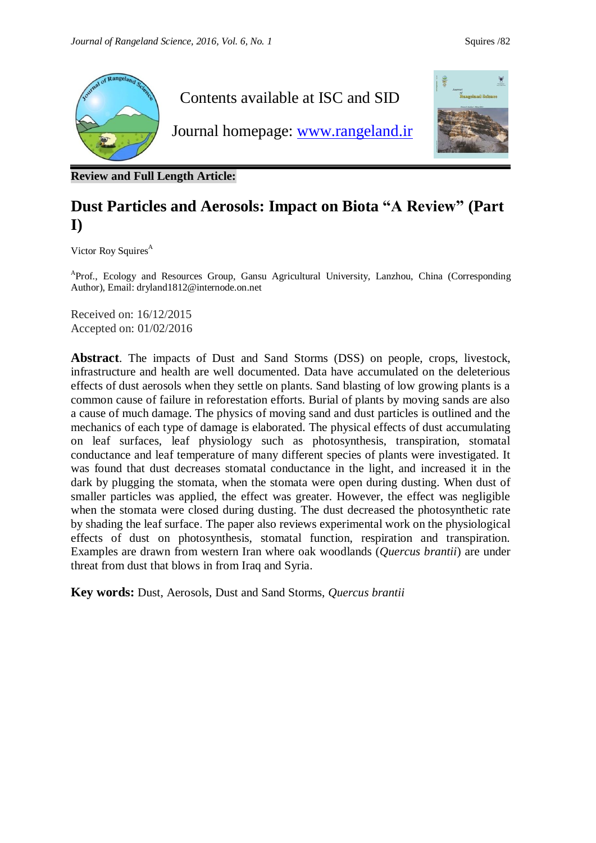

**Review and Full Length Article:**

# **Dust Particles and Aerosols: Impact on Biota "A Review" (Part I)**

Victor Roy Squires<sup>A</sup>

<sup>A</sup>Prof., Ecology and Resources Group, Gansu Agricultural University, Lanzhou, China (Corresponding Author), Email[:](mailto:dryland1812@internode.on.net) [dryland1812@internode.on.net](mailto:dryland1812@internode.on.net)

Received on: 16/12/2015 Accepted on: 01/02/2016

**Abstract**. The impacts of Dust and Sand Storms (DSS) on people, crops, livestock, infrastructure and health are well documented. Data have accumulated on the deleterious effects of dust aerosols when they settle on plants. Sand blasting of low growing plants is a common cause of failure in reforestation efforts. Burial of plants by moving sands are also a cause of much damage. The physics of moving sand and dust particles is outlined and the mechanics of each type of damage is elaborated. The physical effects of dust accumulating on leaf surfaces, leaf physiology such as photosynthesis, transpiration, stomatal conductance and leaf temperature of many different species of plants were investigated. It was found that dust decreases stomatal conductance in the light, and increased it in the dark by plugging the stomata, when the stomata were open during dusting. When dust of smaller particles was applied, the effect was greater. However, the effect was negligible when the stomata were closed during dusting. The dust decreased the photosynthetic rate by shading the leaf surface. The paper also reviews experimental work on the physiological effects of dust on photosynthesis, stomatal function, respiration and transpiration. Examples are drawn from western Iran where oak woodlands (*Quercus brantii*) are under threat from dust that blows in from Iraq and Syria.

**Key words:** Dust, Aerosols, Dust and Sand Storms, *Quercus brantii*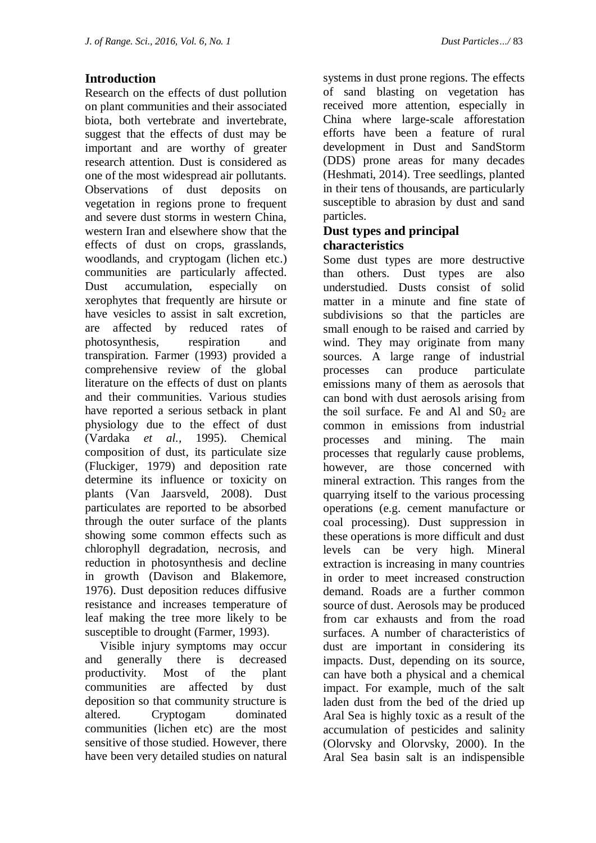# **Introduction**

Research on the effects of dust pollution on plant communities and their associated biota, both vertebrate and invertebrate, suggest that the effects of dust may be important and are worthy of greater research attention. Dust is considered as one of the most widespread air pollutants. Observations of dust deposits on vegetation in regions prone to frequent and severe dust storms in western China, western Iran and elsewhere show that the effects of dust on crops, grasslands, woodlands, and cryptogam (lichen etc.) communities are particularly affected. Dust accumulation, especially on xerophytes that frequently are hirsute or have vesicles to assist in salt excretion, are affected by reduced rates of photosynthesis, respiration and transpiration. Farmer (1993) provided a comprehensive review of the global literature on the effects of dust on plants and their communities. Various studies have reported a serious setback in plant physiology due to the effect of dust (Vardaka *et al.,* 1995). Chemical composition of dust, its particulate size (Fluckiger*,* 1979) and deposition rate determine its influence or toxicity on plants (Van Jaarsveld, 2008). Dust particulates are reported to be absorbed through the outer surface of the plants showing some common effects such as chlorophyll degradation, necrosis, and reduction in photosynthesis and decline in growth (Davison and Blakemore, 1976). Dust deposition reduces diffusive resistance and increases temperature of leaf making the tree more likely to be susceptible to drought (Farmer, 1993).

 Visible injury symptoms may occur and generally there is decreased productivity. Most of the plant communities are affected by dust deposition so that community structure is altered. Cryptogam dominated communities (lichen etc) are the most sensitive of those studied. However, there have been very detailed studies on natural

systems in dust prone regions. The effects of sand blasting on vegetation has received more attention, especially in China where large-scale afforestation efforts have been a feature of rural development in Dust and SandStorm (DDS) prone areas for many decades (Heshmati, 2014). Tree seedlings, planted in their tens of thousands, are particularly susceptible to abrasion by dust and sand particles.

#### **Dust types and principal characteristics**

Some dust types are more destructive than others. Dust types are also understudied. Dusts consist of solid matter in a minute and fine state of subdivisions so that the particles are small enough to be raised and carried by wind. They may originate from many sources. A large range of industrial processes can produce particulate emissions many of them as aerosols that can bond with dust aerosols arising from the soil surface. Fe and Al and  $S_0$  are common in emissions from industrial processes and mining. The main processes that regularly cause problems, however, are those concerned with mineral extraction. This ranges from the quarrying itself to the various processing operations (e.g. cement manufacture or coal processing). Dust suppression in these operations is more difficult and dust levels can be very high. Mineral extraction is increasing in many countries in order to meet increased construction demand. Roads are a further common source of dust. Aerosols may be produced from car exhausts and from the road surfaces. A number of characteristics of dust are important in considering its impacts. Dust, depending on its source, can have both a physical and a chemical impact. For example, much of the salt laden dust from the bed of the dried up Aral Sea is highly toxic as a result of the accumulation of pesticides and salinity (Olorvsky and Olorvsky, 2000). In the Aral Sea basin salt is an indispensible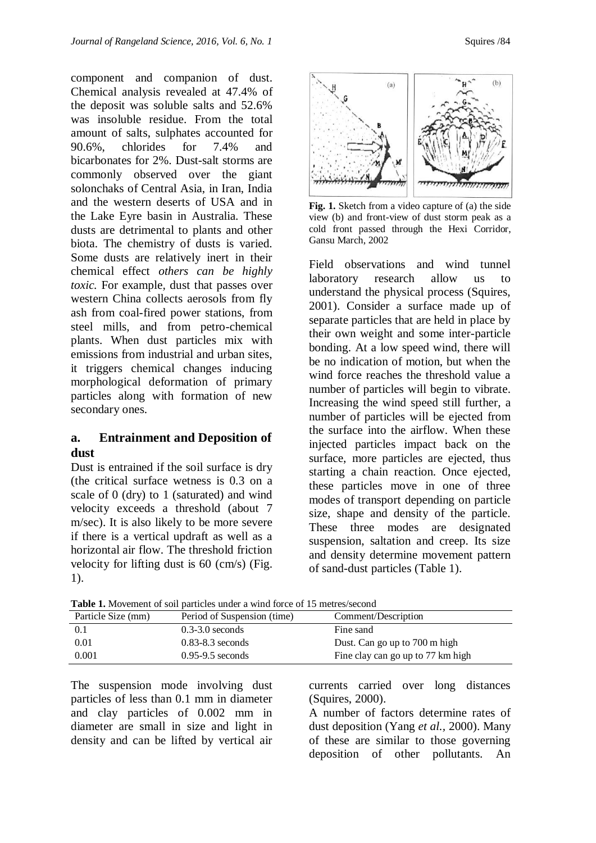component and companion of dust. Chemical analysis revealed at 47.4% of the deposit was soluble salts and 52.6% was insoluble residue. From the total amount of salts, sulphates accounted for 90.6%, chlorides for 7.4% and bicarbonates for 2%. Dust-salt storms are commonly observed over the giant solonchaks of Central Asia, in Iran, India and the western deserts of USA and in the Lake Eyre basin in Australia. These dusts are detrimental to plants and other biota. The chemistry of dusts is varied. Some dusts are relatively inert in their chemical effect *others can be highly toxic.* For example*,* dust that passes over western China collects aerosols from fly ash from coal-fired power stations, from steel mills, and from petro-chemical plants. When dust particles mix with emissions from industrial and urban sites, it triggers chemical changes inducing morphological deformation of primary particles along with formation of new secondary ones.

#### **a. Entrainment and Deposition of dust**

Dust is entrained if the soil surface is dry (the critical surface wetness is 0.3 on a scale of 0 (dry) to 1 (saturated) and wind velocity exceeds a threshold (about 7 m/sec). It is also likely to be more severe if there is a vertical updraft as well as a horizontal air flow. The threshold friction velocity for lifting dust is 60 (cm/s) (Fig. 1).



**Fig. 1.** Sketch from a video capture of (a) the side view (b) and front-view of dust storm peak as a cold front passed through the Hexi Corridor, Gansu March, 2002

Field observations and wind tunnel laboratory research allow us to understand the physical process (Squires, 2001). Consider a surface made up of separate particles that are held in place by their own weight and some inter-particle bonding. At a low speed wind, there will be no indication of motion, but when the wind force reaches the threshold value a number of particles will begin to vibrate. Increasing the wind speed still further, a number of particles will be ejected from the surface into the airflow. When these injected particles impact back on the surface, more particles are ejected, thus starting a chain reaction. Once ejected, these particles move in one of three modes of transport depending on particle size, shape and density of the particle. These three modes are designated suspension, saltation and creep. Its size and density determine movement pattern of sand-dust particles (Table 1).

Particle Size (mm) Period of Suspension (time) Comment/Description 0.1 0.3-3.0 seconds Fine sand 0.01 0.83-8.3 seconds Dust. Can go up to 700 m high 0.001 0.95-9.5 seconds Fine clay can go up to 77 km high

**Table 1.** Movement of soil particles under a wind force of 15 metres/second

The suspension mode involving dust particles of less than 0.1 mm in diameter and clay particles of 0.002 mm in diameter are small in size and light in density and can be lifted by vertical air

currents carried over long distances (Squires, 2000).

A number of factors determine rates of dust deposition (Yang *et al.,* 2000). Many of these are similar to those governing deposition of other pollutants. An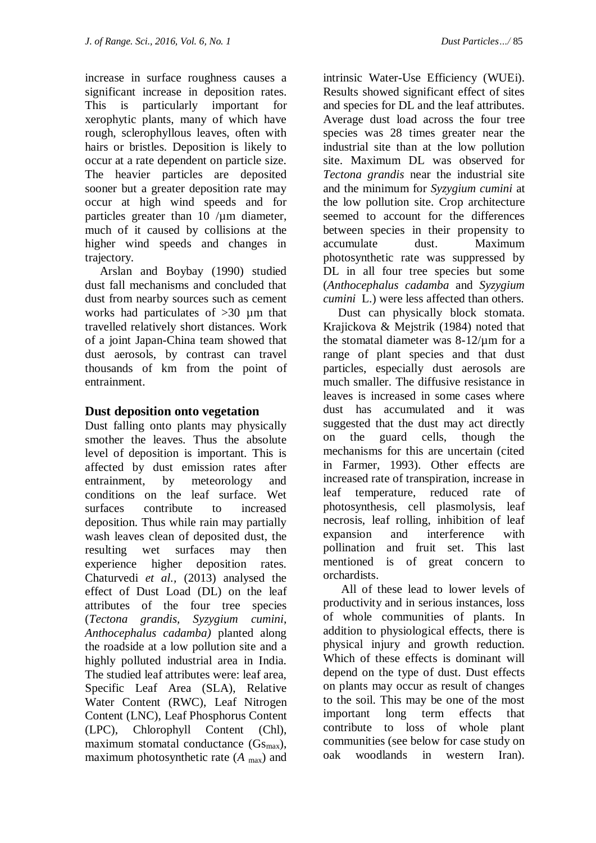increase in surface roughness causes a significant increase in deposition rates. This is particularly important for xerophytic plants, many of which have rough, sclerophyllous leaves, often with hairs or bristles. Deposition is likely to occur at a rate dependent on particle size. The heavier particles are deposited sooner but a greater deposition rate may occur at high wind speeds and for particles greater than  $10 / \mu m$  diameter, much of it caused by collisions at the higher wind speeds and changes in trajectory.

 Arslan and Boybay (1990) studied dust fall mechanisms and concluded that dust from nearby sources such as cement works had particulates of >30 µm that travelled relatively short distances. Work of a joint Japan-China team showed that dust aerosols, by contrast can travel thousands of km from the point of entrainment.

#### **Dust deposition onto vegetation**

Dust falling onto plants may physically smother the leaves. Thus the absolute level of deposition is important. This is affected by dust emission rates after entrainment, by meteorology and conditions on the leaf surface. Wet surfaces contribute to increased deposition. Thus while rain may partially wash leaves clean of deposited dust, the resulting wet surfaces may then experience higher deposition rates. Chaturvedi *et al.,* (2013) analysed the effect of Dust Load (DL) on the leaf attributes of the four tree species (*Tectona grandis, Syzygium cumini*, *Anthocephalus cadamba)* planted along the roadside at a low pollution site and a highly polluted industrial area in India. The studied leaf attributes were: leaf area, Specific Leaf Area (SLA), Relative Water Content (RWC), Leaf Nitrogen Content (LNC), Leaf Phosphorus Content (LPC), Chlorophyll Content (Chl), maximum stomatal conductance  $(Gs_{max})$ , maximum photosynthetic rate  $(A_{\text{max}})$  and

intrinsic Water-Use Efficiency (WUEi). Results showed significant effect of sites and species for DL and the leaf attributes. Average dust load across the four tree species was 28 times greater near the industrial site than at the low pollution site. Maximum DL was observed for *Tectona grandis* near the industrial site and the minimum for *Syzygium cumini* at the low pollution site. Crop architecture seemed to account for the differences between species in their propensity to accumulate dust. Maximum photosynthetic rate was suppressed by DL in all four tree species but some (*Anthocephalus cadamba* and *Syzygium cumini* L.) were less affected than others.

 Dust can physically block stomata. Krajickova & Mejstrik (1984) noted that the stomatal diameter was 8-12/µm for a range of plant species and that dust particles, especially dust aerosols are much smaller. The diffusive resistance in leaves is increased in some cases where dust has accumulated and it was suggested that the dust may act directly on the guard cells, though the mechanisms for this are uncertain (cited in Farmer, 1993). Other effects are increased rate of transpiration, increase in leaf temperature, reduced rate of photosynthesis, cell plasmolysis, leaf necrosis, leaf rolling, inhibition of leaf expansion and interference with pollination and fruit set. This last mentioned is of great concern to orchardists.

 All of these lead to lower levels of productivity and in serious instances, loss of whole communities of plants. In addition to physiological effects, there is physical injury and growth reduction. Which of these effects is dominant will depend on the type of dust. Dust effects on plants may occur as result of changes to the soil. This may be one of the most important long term effects that contribute to loss of whole plant communities (see below for case study on oak woodlands in western Iran).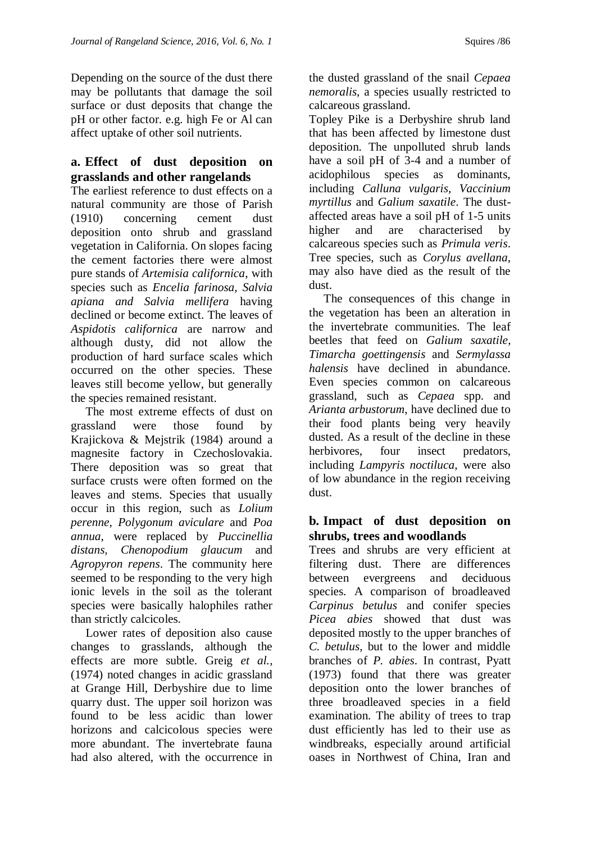Depending on the source of the dust there may be pollutants that damage the soil surface or dust deposits that change the pH or other factor. e.g. high Fe or Al can affect uptake of other soil nutrients.

# **a. Effect of dust deposition on grasslands and other rangelands**

The earliest reference to dust effects on a natural community are those of Parish (1910) concerning cement dust deposition onto shrub and grassland vegetation in California. On slopes facing the cement factories there were almost pure stands of *Artemisia californica*, with species such as *Encelia farinosa, Salvia apiana and Salvia mellifera* having declined or become extinct. The leaves of *Aspidotis californica* are narrow and although dusty, did not allow the production of hard surface scales which occurred on the other species. These leaves still become yellow, but generally the species remained resistant.

 The most extreme effects of dust on grassland were those found by Krajickova & Mejstrik (1984) around a magnesite factory in Czechoslovakia. There deposition was so great that surface crusts were often formed on the leaves and stems. Species that usually occur in this region, such as *Lolium perenne, Polygonum aviculare* and *Poa annua*, were replaced by *Puccinellia distans, Chenopodium glaucum* and *Agropyron repens*. The community here seemed to be responding to the very high ionic levels in the soil as the tolerant species were basically halophiles rather than strictly calcicoles.

 Lower rates of deposition also cause changes to grasslands, although the effects are more subtle. Greig *et al.,*  (1974) noted changes in acidic grassland at Grange Hill, Derbyshire due to lime quarry dust. The upper soil horizon was found to be less acidic than lower horizons and calcicolous species were more abundant. The invertebrate fauna had also altered, with the occurrence in

the dusted grassland of the snail *Cepaea nemoralis*, a species usually restricted to calcareous grassland.

Topley Pike is a Derbyshire shrub land that has been affected by limestone dust deposition. The unpolluted shrub lands have a soil pH of 3-4 and a number of acidophilous species as dominants, including *Calluna vulgaris, Vaccinium myrtillus* and *Galium saxatile*. The dustaffected areas have a soil pH of 1-5 units higher and are characterised by calcareous species such as *Primula veris*. Tree species, such as *Corylus avellana*, may also have died as the result of the dust.

 The consequences of this change in the vegetation has been an alteration in the invertebrate communities. The leaf beetles that feed on *Galium saxatile, Timarcha goettingensis* and *Sermylassa halensis* have declined in abundance. Even species common on calcareous grassland, such as *Cepaea* spp. and *Arianta arbustorum*, have declined due to their food plants being very heavily dusted. As a result of the decline in these herbivores, four insect predators, including *Lampyris noctiluca*, were also of low abundance in the region receiving dust.

#### **b. Impact of dust deposition on shrubs, trees and woodlands**

Trees and shrubs are very efficient at filtering dust. There are differences between evergreens and deciduous species. A comparison of broadleaved *Carpinus betulus* and conifer species *Picea abies* showed that dust was deposited mostly to the upper branches of *C. betulus*, but to the lower and middle branches of *P. abies*. In contrast, Pyatt (1973) found that there was greater deposition onto the lower branches of three broadleaved species in a field examination. The ability of trees to trap dust efficiently has led to their use as windbreaks, especially around artificial oases in Northwest of China, Iran and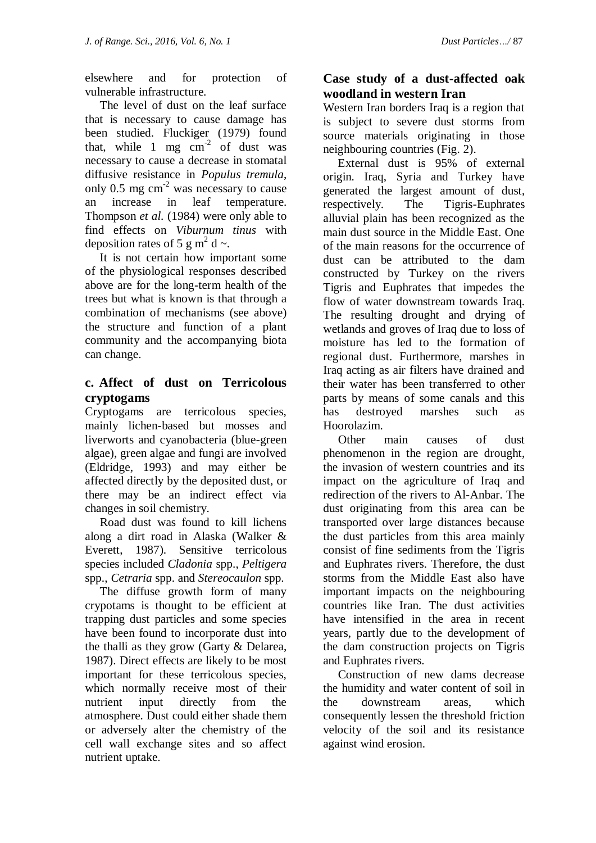elsewhere and for protection of vulnerable infrastructure.

 The level of dust on the leaf surface that is necessary to cause damage has been studied. Fluckiger (1979) found that, while  $1 \text{ mg cm}^{-2}$  of dust was necessary to cause a decrease in stomatal diffusive resistance in *Populus tremula*, only  $0.5$  mg cm<sup>-2</sup> was necessary to cause an increase in leaf temperature. Thompson *et al.* (1984) were only able to find effects on *Viburnum tinus* with deposition rates of 5 g m<sup>2</sup> d  $\sim$ .

 It is not certain how important some of the physiological responses described above are for the long-term health of the trees but what is known is that through a combination of mechanisms (see above) the structure and function of a plant community and the accompanying biota can change.

## **c. Affect of dust on Terricolous cryptogams**

Cryptogams are terricolous species, mainly lichen-based but mosses and liverworts and cyanobacteria (blue-green algae), green algae and fungi are involved (Eldridge, 1993) and may either be affected directly by the deposited dust, or there may be an indirect effect via changes in soil chemistry.

 Road dust was found to kill lichens along a dirt road in Alaska (Walker & Everett, 1987). Sensitive terricolous species included *Cladonia* spp., *Peltigera* spp., *Cetraria* spp. and *Stereocaulon* spp.

 The diffuse growth form of many crypotams is thought to be efficient at trapping dust particles and some species have been found to incorporate dust into the thalli as they grow (Garty & Delarea, 1987). Direct effects are likely to be most important for these terricolous species, which normally receive most of their nutrient input directly from the atmosphere. Dust could either shade them or adversely alter the chemistry of the cell wall exchange sites and so affect nutrient uptake.

# **Case study of a dust-affected oak woodland in western Iran**

Western Iran borders Iraq is a region that is subject to severe dust storms from source materials originating in those neighbouring countries (Fig. 2).

 External dust is 95% of external origin. Iraq, Syria and Turkey have generated the largest amount of dust, respectively. The Tigris-Euphrates alluvial plain has been recognized as the main dust source in the Middle East. One of the main reasons for the occurrence of dust can be attributed to the dam constructed by Turkey on the rivers Tigris and Euphrates that impedes the flow of water downstream towards Iraq. The resulting drought and drying of wetlands and groves of Iraq due to loss of moisture has led to the formation of regional dust. Furthermore, marshes in Iraq acting as air filters have drained and their water has been transferred to other parts by means of some canals and this has destroyed marshes such as Hoorolazim.

 Other main causes of dust phenomenon in the region are drought, the invasion of western countries and its impact on the agriculture of Iraq and redirection of the rivers to Al-Anbar. The dust originating from this area can be transported over large distances because the dust particles from this area mainly consist of fine sediments from the Tigris and Euphrates rivers. Therefore, the dust storms from the Middle East also have important impacts on the neighbouring countries like Iran. The dust activities have intensified in the area in recent years, partly due to the development of the dam construction projects on Tigris and Euphrates rivers.

 Construction of new dams decrease the humidity and water content of soil in the downstream areas, which consequently lessen the threshold friction velocity of the soil and its resistance against wind erosion.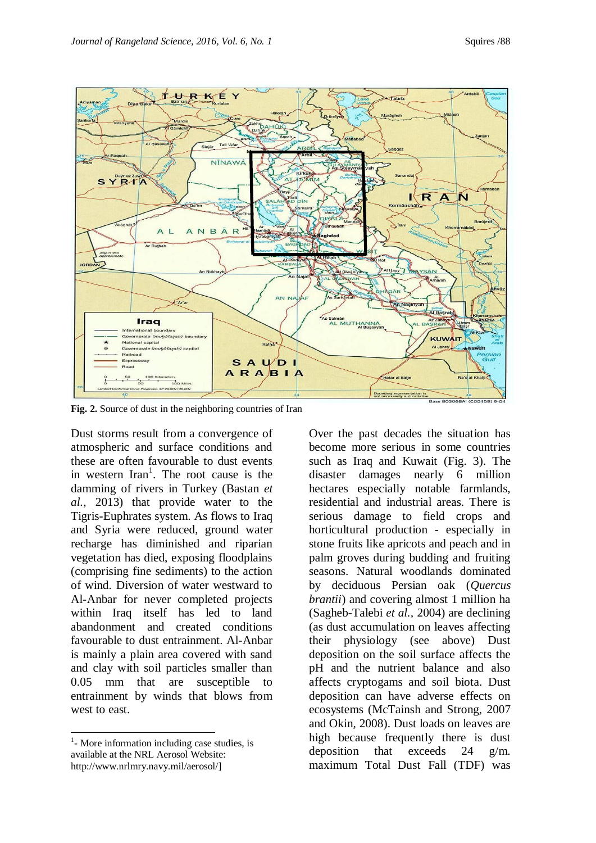

**Fig. 2.** Source of dust in the neighboring countries of Iran

Dust storms result from a convergence of atmospheric and surface conditions and these are often favourable to dust events in western  $\text{Iran}^1$ . The root cause is the damming of rivers in Turkey (Bastan *et al.,* 2013) that provide water to the Tigris-Euphrates system. As flows to Iraq and Syria were reduced, ground water recharge has diminished and riparian vegetation has died, exposing floodplains (comprising fine sediments) to the action of wind. Diversion of water westward to Al-Anbar for never completed projects within Iraq itself has led to land abandonment and created conditions favourable to dust entrainment. Al-Anbar is mainly a plain area covered with sand and clay with soil particles smaller than 0.05 mm that are susceptible to entrainment by winds that blows from west to east.

l

Over the past decades the situation has become more serious in some countries such as Iraq and Kuwait (Fig. 3). The disaster damages nearly 6 million hectares especially notable farmlands, residential and industrial areas. There is serious damage to field crops and horticultural production - especially in stone fruits like apricots and peach and in palm groves during budding and fruiting seasons. Natural woodlands dominated by deciduous Persian oak (*Quercus brantii*) and covering almost 1 million ha (Sagheb-Talebi *et al.,* 2004) are declining (as dust accumulation on leaves affecting their physiology (see above) Dust deposition on the soil surface affects the pH and the nutrient balance and also affects cryptogams and soil biota. Dust deposition can have adverse effects on ecosystems (McTainsh and Strong, 2007 and Okin, 2008). Dust loads on leaves are high because frequently there is dust deposition that exceeds 24 g/m. maximum Total Dust Fall (TDF) was

<sup>&</sup>lt;sup>1</sup>- More information including case studies, is available at the NRL Aerosol Website: http://www.nrlmry.navy.mil/aerosol/]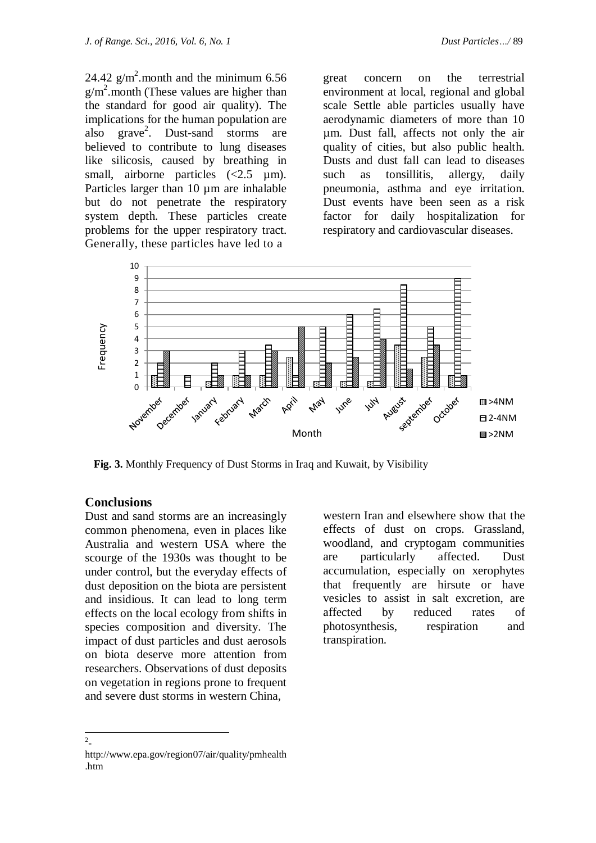24.42  $g/m^2$  month and the minimum 6.56  $g/m^2$  month (These values are higher than the standard for good air quality). The implications for the human population are also grave<sup>2</sup>. Dust-sand storms are believed to contribute to lung diseases like silicosis, caused by breathing in

small, airborne particles  $\langle 2.5 \text{ \mu m} \rangle$ . Particles larger than 10  $\mu$ m are inhalable but do not penetrate the respiratory system depth. These particles create problems for the upper respiratory tract. Generally, these particles have led to a

great concern on the terrestrial environment at local, regional and global scale Settle able particles usually have aerodynamic diameters of more than 10 µm. Dust fall, affects not only the air quality of cities, but also public health. Dusts and dust fall can lead to diseases such as tonsillitis, allergy, daily pneumonia, asthma and eye irritation. Dust events have been seen as a risk factor for daily hospitalization for respiratory and cardiovascular diseases.



**Fig. 3.** Monthly Frequency of Dust Storms in Iraq and Kuwait, by Visibility

#### **Conclusions**

Dust and sand storms are an increasingly common phenomena, even in places like Australia and western USA where the scourge of the 1930s was thought to be under control, but the everyday effects of dust deposition on the biota are persistent and insidious. It can lead to long term effects on the local ecology from shifts in species composition and diversity. The impact of dust particles and dust aerosols on biota deserve more attention from researchers. Observations of dust deposits on vegetation in regions prone to frequent and severe dust storms in western China,

western Iran and elsewhere show that the effects of dust on crops. Grassland, woodland, and cryptogam communities are particularly affected. Dust accumulation, especially on xerophytes that frequently are hirsute or have vesicles to assist in salt excretion, are affected by reduced rates of photosynthesis, respiration and transpiration.

 $\overline{a}$ 

http://www.epa.gov/region07/air/quality/pmhealth .htm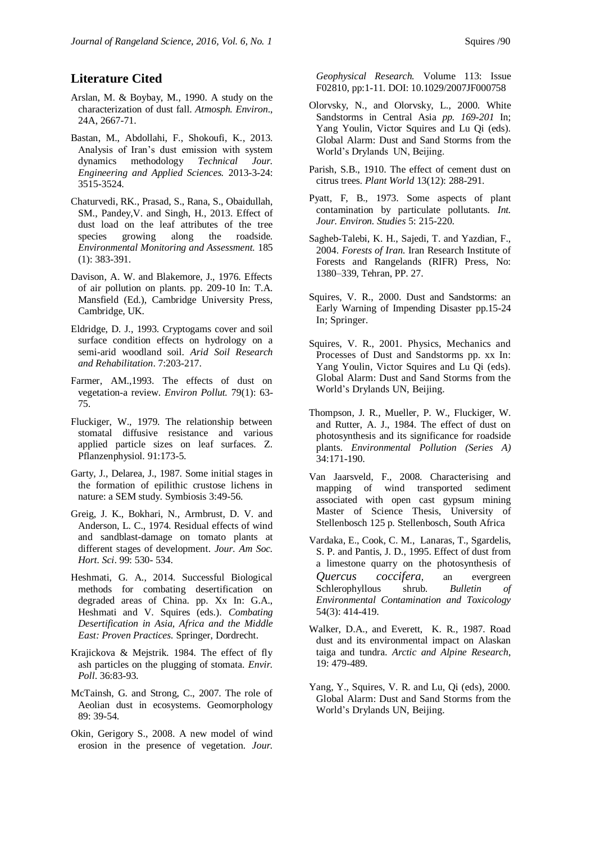#### **Literature Cited**

- Arslan, M. & Boybay, M., 1990. A study on the characterization of dust fall. *Atmosph. Environ*., 24A, 2667-71.
- Bastan, M., Abdollahi, F., Shokoufi, K., 2013. Analysis of Iran's dust emission with system dynamics methodology *Technical Jour. Engineering and Applied Sciences.* 2013-3-24: 3515-3524.
- [Chaturvedi,](http://link.springer.com/search?facet-author=%22R.+K.+Chaturvedi%22) RK., [Prasad,](http://link.springer.com/search?facet-author=%22Shikha+Prasad%22) S., [Rana,](http://link.springer.com/search?facet-author=%22Savita+Rana%22) S., Obaidullah, SM., [Pandey,](http://link.springer.com/search?facet-author=%22Vijay+Pandey%22)V. and [Singh,](http://link.springer.com/search?facet-author=%22Hema+Singh%22) H., 2013. Effect of dust load on the leaf attributes of the tree species growing along the roadside. *[Environmental Monitoring and Assessment.](http://link.springer.com/journal/10661)* 185 (1): 383-391.
- Davison, A. W. and Blakemore, J., 1976. Effects of air pollution on plants. pp. 209-10 In: T.A. Mansfield (Ed.), Cambridge University Press, Cambridge, UK.
- Eldridge, D. J., 1993. Cryptogams cover and soil surface condition effects on hydrology on a semi-arid woodland soil. *Arid Soil Research and Rehabilitation*. 7:203-217.
- Farmer, AM.,1993. The effects of dust on vegetation-a review. *[Environ Pollut.](http://www.ncbi.nlm.nih.gov/pubmed/15091915)* 79(1): 63- 75.
- Fluckiger, W., 1979. The relationship between stomatal diffusive resistance and various applied particle sizes on leaf surfaces. Z. Pflanzenphysiol. 91:173-5.
- Garty, J., Delarea, J., 1987. Some initial stages in the formation of epilithic crustose lichens in nature: a SEM study. Symbiosis 3:49-56.
- Greig, J. K., Bokhari, N., Armbrust, D. V. and Anderson, L. C., 1974. Residual effects of wind and sandblast-damage on tomato plants at different stages of development. *Jour. Am Soc. Hort. Sci*. 99: 530- 534.
- Heshmati, G. A., 2014. Successful Biological methods for combating desertification on degraded areas of China. pp. Xx In: G.A., Heshmati and V. Squires (eds.). *Combating Desertification in Asia, Africa and the Middle East: Proven Practices.* Springer, Dordrecht.
- Krajickova & Mejstrik. 1984. The effect of fly ash particles on the plugging of stomata. *Envir. Poll*. 36:83-93.
- McTainsh, G. and Strong, C., 2007. The role of Aeolian dust in ecosystems. Geomorphology 89: 39-54.
- Okin, Gerigory S., 2008. A new model of wind erosion in the presence of vegetation. *Jour.*

*Geophysical Research.* Volume 113: Issue F02810, pp:1-11. DOI: 10.1029/2007JF000758

- Olorvsky, N., and Olorvsky, L., 2000. White Sandstorms in Central Asia *pp. 169-201* In; Yang Youlin, Victor Squires and Lu Qi (eds)*.*  Global Alarm: Dust and Sand Storms from the World's Drylands UN, Beijing.
- Parish, S.B., 1910. The effect of cement dust on citrus trees. *Plant World* 13(12): 288-291.
- Pyatt, F, B., 1973. Some aspects of plant contamination by particulate pollutants. *Int. Jour. Environ. Studies* 5: 215-220.
- Sagheb-Talebi, K. H., Sajedi, T. and Yazdian, F., 2004. *Forests of Iran*. Iran Research Institute of Forests and Rangelands (RIFR) Press, No: 1380–339, Tehran, PP. 27.
- Squires, V. R., 2000. Dust and Sandstorms: an Early Warning of Impending Disaster pp.15-24 In; Springer.
- Squires, V. R., 2001. [Physics, Mechanics and](http://www.unccd.int/publicinfo/duststorms/part1-eng.pdf)  [Processes of Dust and Sandstorms](http://www.unccd.int/publicinfo/duststorms/part1-eng.pdf) pp. xx In: Yang Youlin, Victor Squires and Lu Qi (eds)*.*  Global Alarm: Dust and Sand Storms from the World's Drylands UN, Beijing.
- Thompson, J. R., Mueller, P. W., Fluckiger, W. and Rutter, A. J., 1984. The effect of dust on photosynthesis and its significance for roadside plants. *Environmental Pollution (Series A)* 34:171-190.
- Van Jaarsveld, F., 2008. Characterising and mapping of wind transported sediment associated with open cast gypsum mining Master of Science Thesis, University of Stellenbosch 125 p. Stellenbosch, South Africa
- [Vardaka,](http://link.springer.com/search?facet-author=%22E.+Vardaka%22) E.[, Cook,](http://link.springer.com/search?facet-author=%22C.+M.+Cook%22) C. M., [Lanaras,](http://link.springer.com/search?facet-author=%22T.+Lanaras%22) T., [Sgardelis,](http://link.springer.com/search?facet-author=%22S.+P.+Sgardelis%22) S. P. and Pantis, [J. D.,](http://link.springer.com/search?facet-author=%22J.+D.+Pantis%22) 1995. Effect of dust from a limestone quarry on the photosynthesis of *Quercus coccifera*, an evergreen Schlerophyllous shrub. *[Bulletin of](http://link.springer.com/journal/128)  [Environmental Contamination and Toxicology](http://link.springer.com/journal/128)* 54(3): 414-419.
- Walker, D.A., and Everett, K. R., 1987. Road dust and its environmental impact on Alaskan taiga and tundra. *Arctic and Alpine Research*, 19: 479-489.
- Yang, Y., Squires, V. R. and Lu, Qi (eds), 2000*.*  Global Alarm: Dust and Sand Storms from the World's Drylands UN, Beijing.